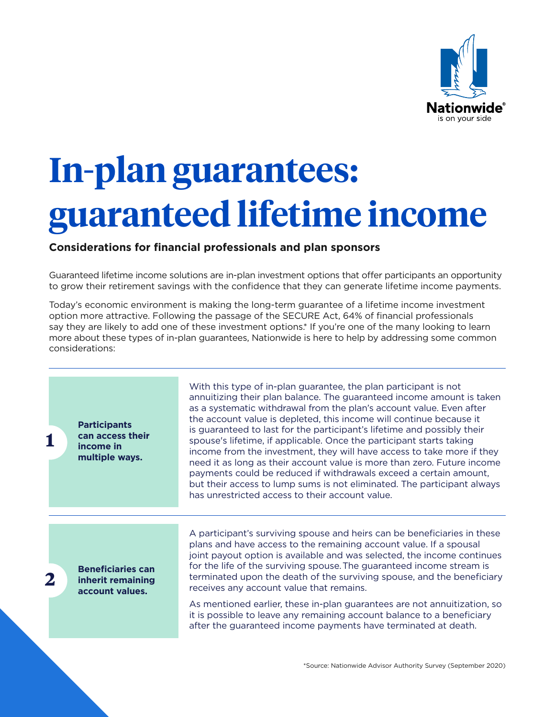

## **In-plan guarantees: guaranteed lifetime income**

## **Considerations for financial professionals and plan sponsors**

Guaranteed lifetime income solutions are in-plan investment options that offer participants an opportunity to grow their retirement savings with the confidence that they can generate lifetime income payments.

Today's economic environment is making the long-term guarantee of a lifetime income investment option more attractive. Following the passage of the SECURE Act, 64% of financial professionals say they are likely to add one of these investment options.<sup>\*</sup> If you're one of the many looking to learn more about these types of in-plan guarantees, Nationwide is here to help by addressing some common considerations:

**Participants can access their income in multiple ways.**

**1**

**2**

With this type of in-plan guarantee, the plan participant is not annuitizing their plan balance. The guaranteed income amount is taken as a systematic withdrawal from the plan's account value. Even after the account value is depleted, this income will continue because it is guaranteed to last for the participant's lifetime and possibly their spouse's lifetime, if applicable. Once the participant starts taking income from the investment, they will have access to take more if they need it as long as their account value is more than zero. Future income payments could be reduced if withdrawals exceed a certain amount, but their access to lump sums is not eliminated. The participant always has unrestricted access to their account value.

**Beneficiaries can inherit remaining account values.**

A participant's surviving spouse and heirs can be beneficiaries in these plans and have access to the remaining account value. If a spousal joint payout option is available and was selected, the income continues for the life of the surviving spouse. The guaranteed income stream is terminated upon the death of the surviving spouse, and the beneficiary receives any account value that remains.

<span id="page-0-0"></span>As mentioned earlier, these in-plan guarantees are not annuitization, so it is possible to leave any remaining account balance to a beneficiary after the guaranteed income payments have terminated at death.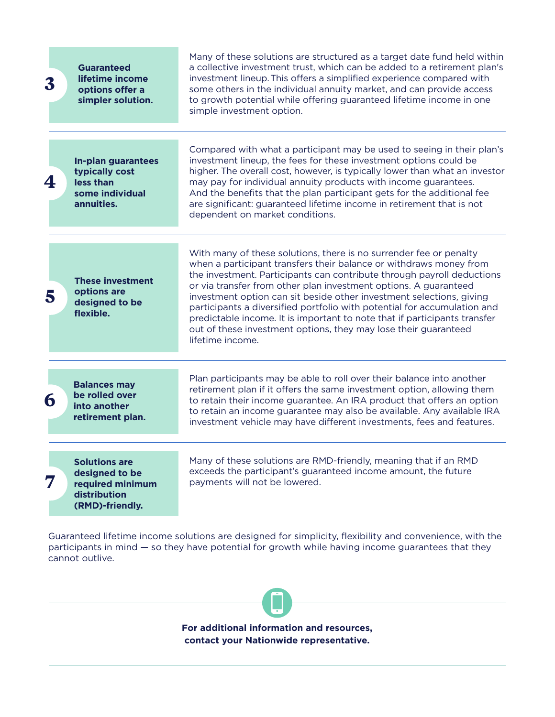| $\boldsymbol{3}$ | <b>Guaranteed</b><br>lifetime income<br>options offer a<br>simpler solution.                  | Many of these solutions are structured as a target date fund held within<br>a collective investment trust, which can be added to a retirement plan's<br>investment lineup. This offers a simplified experience compared with<br>some others in the individual annuity market, and can provide access<br>to growth potential while offering guaranteed lifetime income in one<br>simple investment option.                                                                                                                                                                                                      |
|------------------|-----------------------------------------------------------------------------------------------|----------------------------------------------------------------------------------------------------------------------------------------------------------------------------------------------------------------------------------------------------------------------------------------------------------------------------------------------------------------------------------------------------------------------------------------------------------------------------------------------------------------------------------------------------------------------------------------------------------------|
| 4                | <b>In-plan guarantees</b><br>typically cost<br>less than<br>some individual<br>annuities.     | Compared with what a participant may be used to seeing in their plan's<br>investment lineup, the fees for these investment options could be<br>higher. The overall cost, however, is typically lower than what an investor<br>may pay for individual annuity products with income guarantees.<br>And the benefits that the plan participant gets for the additional fee<br>are significant: guaranteed lifetime income in retirement that is not<br>dependent on market conditions.                                                                                                                            |
| 5                | <b>These investment</b><br>options are<br>designed to be<br>flexible.                         | With many of these solutions, there is no surrender fee or penalty<br>when a participant transfers their balance or withdraws money from<br>the investment. Participants can contribute through payroll deductions<br>or via transfer from other plan investment options. A guaranteed<br>investment option can sit beside other investment selections, giving<br>participants a diversified portfolio with potential for accumulation and<br>predictable income. It is important to note that if participants transfer<br>out of these investment options, they may lose their guaranteed<br>lifetime income. |
| 6                | <b>Balances may</b><br>be rolled over<br>into another<br>retirement plan.                     | Plan participants may be able to roll over their balance into another<br>retirement plan if it offers the same investment option, allowing them<br>to retain their income guarantee. An IRA product that offers an option<br>to retain an income guarantee may also be available. Any available IRA<br>investment vehicle may have different investments, fees and features.                                                                                                                                                                                                                                   |
| 7                | <b>Solutions are</b><br>designed to be<br>required minimum<br>distribution<br>(RMD)-friendly. | Many of these solutions are RMD-friendly, meaning that if an RMD<br>exceeds the participant's guaranteed income amount, the future<br>payments will not be lowered.                                                                                                                                                                                                                                                                                                                                                                                                                                            |

Guaranteed lifetime income solutions are designed for simplicity, flexibility and convenience, with the participants in mind — so they have potential for growth while having income guarantees that they cannot outlive.

> **For additional information and resources, contact your Nationwide representative.**